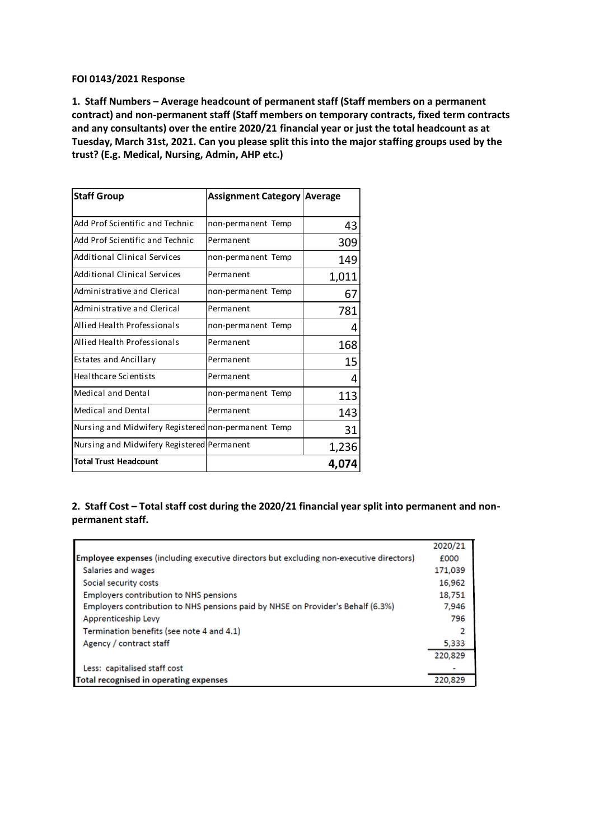## **FOI 0143/2021 Response**

**1. Staff Numbers – Average headcount of permanent staff (Staff members on a permanent contract) and non-permanent staff (Staff members on temporary contracts, fixed term contracts and any consultants) over the entire 2020/21 financial year or just the total headcount as at Tuesday, March 31st, 2021. Can you please split this into the major staffing groups used by the trust? (E.g. Medical, Nursing, Admin, AHP etc.)**

| <b>Staff Group</b>                                  | Assignment Category   Average |       |
|-----------------------------------------------------|-------------------------------|-------|
| Add Prof Scientific and Technic                     | non-permanent Temp            | 43    |
| Add Prof Scientific and Technic                     | Permanent                     | 309   |
| Additional Clinical Services                        | non-permanent Temp            | 149   |
| Additional Clinical Services                        | Permanent                     | 1,011 |
| Administrative and Clerical                         | non-permanent Temp            | 67    |
| Administrative and Clerical                         | Permanent                     | 781   |
| Allied Health Professionals                         | non-permanent Temp            | 4     |
| Allied Health Professionals                         | Permanent                     | 168   |
| <b>Estates and Ancillary</b>                        | Permanent                     | 15    |
| <b>Healthcare Scientists</b>                        | Permanent                     | 4     |
| <b>Medical and Dental</b>                           | non-permanent Temp            | 113   |
| Medical and Dental                                  | Permanent                     | 143   |
| Nursing and Midwifery Registered non-permanent Temp |                               | 31    |
| Nursing and Midwifery Registered Permanent          |                               | 1,236 |
| <b>Total Trust Headcount</b>                        |                               | 4,074 |

## **2. Staff Cost – Total staff cost during the 2020/21 financial year split into permanent and nonpermanent staff.**

|                                                                                                | 2020/21 |
|------------------------------------------------------------------------------------------------|---------|
| <b>Employee expenses (including executive directors but excluding non-executive directors)</b> | £000    |
| Salaries and wages                                                                             | 171,039 |
| Social security costs                                                                          | 16,962  |
| <b>Employers contribution to NHS pensions</b>                                                  | 18,751  |
| Employers contribution to NHS pensions paid by NHSE on Provider's Behalf (6.3%)                | 7,946   |
| Apprenticeship Levy                                                                            | 796     |
| Termination benefits (see note 4 and 4.1)                                                      | 2       |
| Agency / contract staff                                                                        | 5,333   |
|                                                                                                | 220,829 |
| Less: capitalised staff cost                                                                   |         |
| Total recognised in operating expenses                                                         | 220.829 |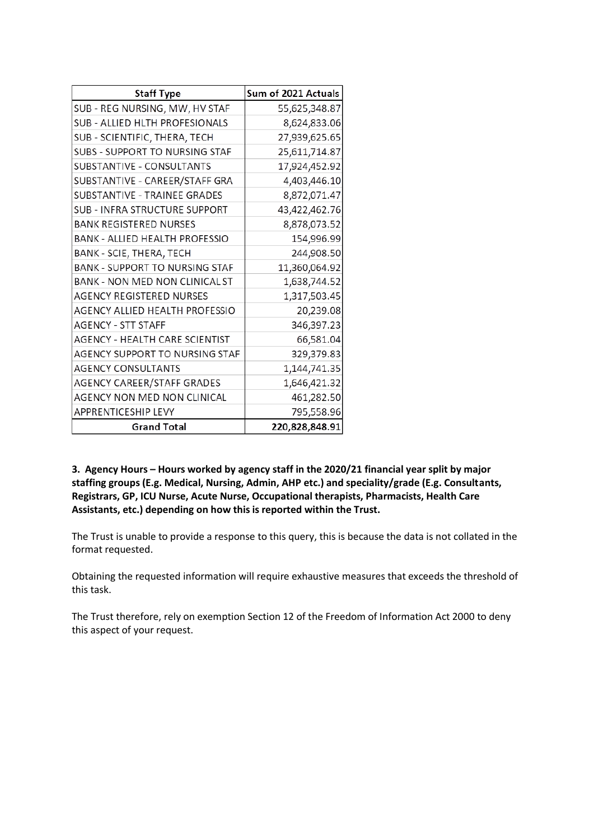| <b>Staff Type</b>                     | Sum of 2021 Actuals |  |
|---------------------------------------|---------------------|--|
| SUB - REG NURSING, MW, HV STAF        | 55,625,348.87       |  |
| SUB - ALLIED HLTH PROFESIONALS        | 8,624,833.06        |  |
| SUB - SCIENTIFIC, THERA, TECH         | 27,939,625.65       |  |
| SUBS - SUPPORT TO NURSING STAF        | 25,611,714.87       |  |
| SUBSTANTIVE - CONSULTANTS             | 17,924,452.92       |  |
| SUBSTANTIVE - CAREER/STAFF GRA        | 4,403,446.10        |  |
| SUBSTANTIVE - TRAINEE GRADES          | 8,872,071.47        |  |
| SUB - INFRA STRUCTURE SUPPORT         | 43,422,462.76       |  |
| <b>BANK REGISTERED NURSES</b>         | 8,878,073.52        |  |
| <b>BANK - ALLIED HEALTH PROFESSIO</b> | 154,996.99          |  |
| BANK - SCIE, THERA, TECH              | 244,908.50          |  |
| <b>BANK - SUPPORT TO NURSING STAF</b> | 11,360,064.92       |  |
| <b>BANK - NON MED NON CLINICAL ST</b> | 1,638,744.52        |  |
| <b>AGENCY REGISTERED NURSES</b>       | 1,317,503.45        |  |
| AGENCY ALLIED HEALTH PROFESSIO        | 20,239.08           |  |
| <b>AGENCY - STT STAFF</b>             | 346,397.23          |  |
| AGENCY - HEALTH CARE SCIENTIST        | 66,581.04           |  |
| AGENCY SUPPORT TO NURSING STAF        | 329,379.83          |  |
| <b>AGENCY CONSULTANTS</b>             | 1,144,741.35        |  |
| AGENCY CAREER/STAFF GRADES            | 1,646,421.32        |  |
| AGENCY NON MED NON CLINICAL           | 461,282.50          |  |
| <b>APPRENTICESHIP LEVY</b>            | 795,558.96          |  |
| <b>Grand Total</b>                    | 220,828,848.91      |  |

**3. Agency Hours – Hours worked by agency staff in the 2020/21 financial year split by major staffing groups (E.g. Medical, Nursing, Admin, AHP etc.) and speciality/grade (E.g. Consultants, Registrars, GP, ICU Nurse, Acute Nurse, Occupational therapists, Pharmacists, Health Care Assistants, etc.) depending on how this is reported within the Trust.**

The Trust is unable to provide a response to this query, this is because the data is not collated in the format requested.

Obtaining the requested information will require exhaustive measures that exceeds the threshold of this task.

The Trust therefore, rely on exemption Section 12 of the Freedom of Information Act 2000 to deny this aspect of your request.